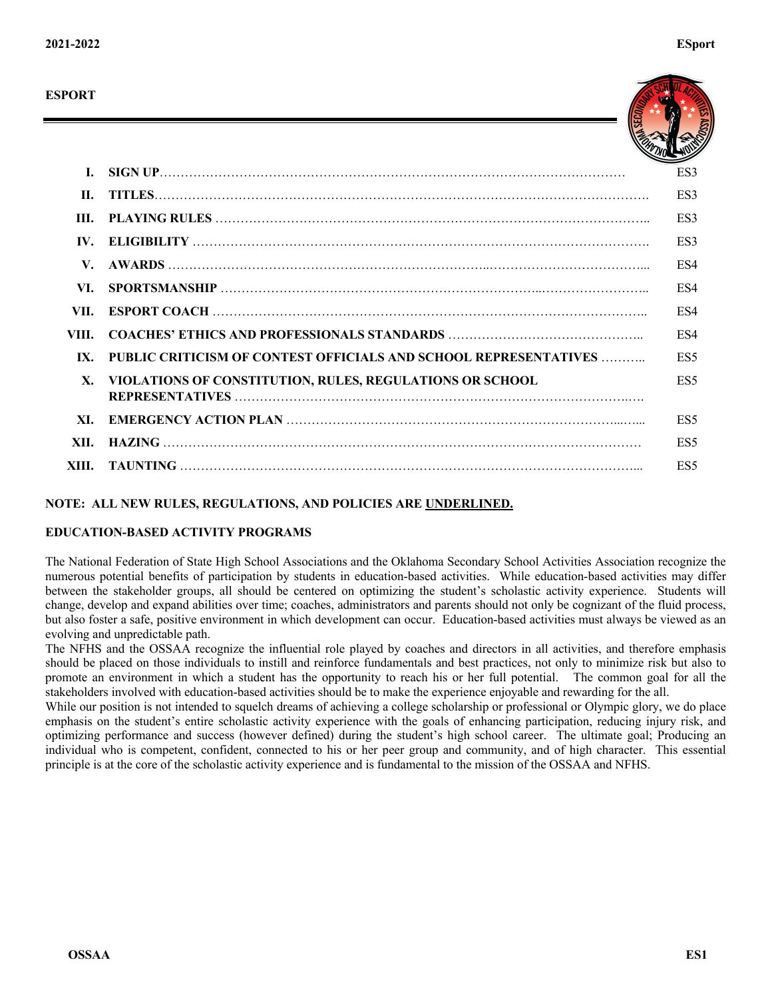

| L     |                                                                  | ES3             |
|-------|------------------------------------------------------------------|-----------------|
| H.    |                                                                  | ES3             |
| HI.   |                                                                  | ES3             |
| IV.   |                                                                  | ES3             |
| V.    |                                                                  | ES4             |
| VI.   |                                                                  | ES4             |
| VII.  |                                                                  | ES4             |
| VIII. |                                                                  | ES4             |
| IX.   | PUBLIC CRITICISM OF CONTEST OFFICIALS AND SCHOOL REPRESENTATIVES | ES <sub>5</sub> |
| X.    | VIOLATIONS OF CONSTITUTION, RULES, REGULATIONS OR SCHOOL         | ES <sub>5</sub> |
| XI.   |                                                                  | ES5             |
| XII.  |                                                                  | ES <sub>5</sub> |
|       |                                                                  | ES <sub>5</sub> |

# **NOTE: ALL NEW RULES, REGULATIONS, AND POLICIES ARE UNDERLINED.**

# **EDUCATION-BASED ACTIVITY PROGRAMS**

The National Federation of State High School Associations and the Oklahoma Secondary School Activities Association recognize the numerous potential benefits of participation by students in education-based activities. While education-based activities may differ between the stakeholder groups, all should be centered on optimizing the student's scholastic activity experience. Students will change, develop and expand abilities over time; coaches, administrators and parents should not only be cognizant of the fluid process, but also foster a safe, positive environment in which development can occur. Education-based activities must always be viewed as an evolving and unpredictable path.

The NFHS and the OSSAA recognize the influential role played by coaches and directors in all activities, and therefore emphasis should be placed on those individuals to instill and reinforce fundamentals and best practices, not only to minimize risk but also to promote an environment in which a student has the opportunity to reach his or her full potential. The common goal for all the stakeholders involved with education-based activities should be to make the experience enjoyable and rewarding for the all.

While our position is not intended to squelch dreams of achieving a college scholarship or professional or Olympic glory, we do place emphasis on the student's entire scholastic activity experience with the goals of enhancing participation, reducing injury risk, and optimizing performance and success (however defined) during the student's high school career. The ultimate goal; Producing an individual who is competent, confident, connected to his or her peer group and community, and of high character. This essential principle is at the core of the scholastic activity experience and is fundamental to the mission of the OSSAA and NFHS.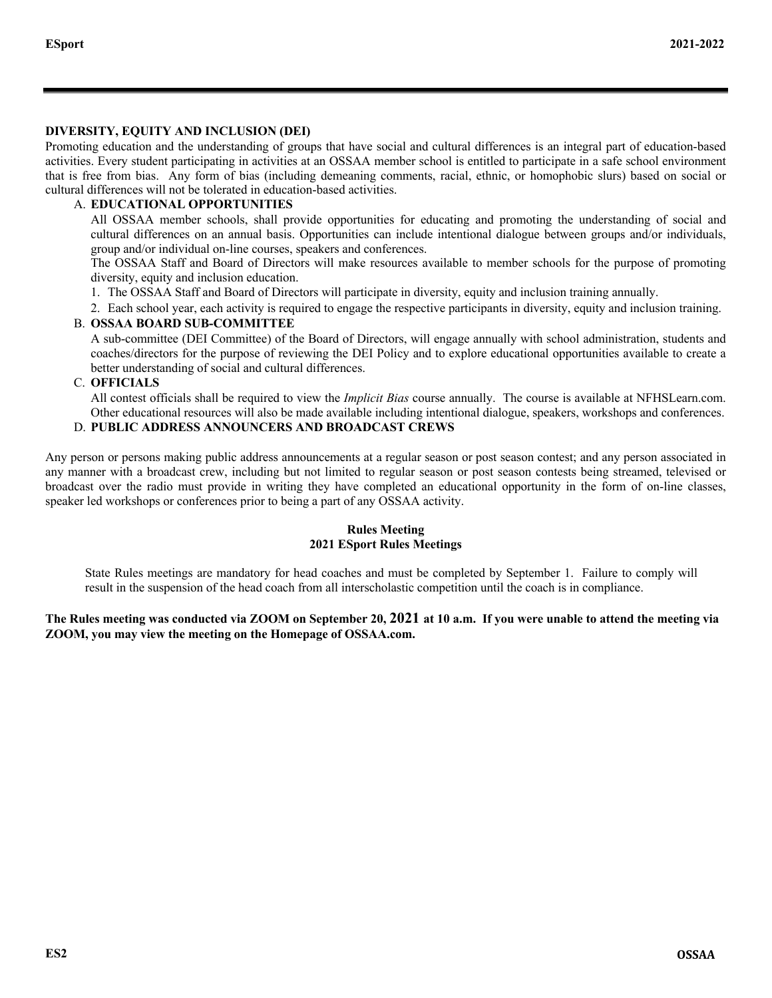# **DIVERSITY, EQUITY AND INCLUSION (DEI)**

Promoting education and the understanding of groups that have social and cultural differences is an integral part of education-based activities. Every student participating in activities at an OSSAA member school is entitled to participate in a safe school environment that is free from bias. Any form of bias (including demeaning comments, racial, ethnic, or homophobic slurs) based on social or cultural differences will not be tolerated in education-based activities.

# A. **EDUCATIONAL OPPORTUNITIES**

All OSSAA member schools, shall provide opportunities for educating and promoting the understanding of social and cultural differences on an annual basis. Opportunities can include intentional dialogue between groups and/or individuals, group and/or individual on-line courses, speakers and conferences.

The OSSAA Staff and Board of Directors will make resources available to member schools for the purpose of promoting diversity, equity and inclusion education.

- 1. The OSSAA Staff and Board of Directors will participate in diversity, equity and inclusion training annually.
- 2. Each school year, each activity is required to engage the respective participants in diversity, equity and inclusion training.

# B. **OSSAA BOARD SUB-COMMITTEE**

A sub-committee (DEI Committee) of the Board of Directors, will engage annually with school administration, students and coaches/directors for the purpose of reviewing the DEI Policy and to explore educational opportunities available to create a better understanding of social and cultural differences.

# C. **OFFICIALS**

All contest officials shall be required to view the *Implicit Bias* course annually. The course is available at NFHSLearn.com. Other educational resources will also be made available including intentional dialogue, speakers, workshops and conferences.

# D. **PUBLIC ADDRESS ANNOUNCERS AND BROADCAST CREWS**

Any person or persons making public address announcements at a regular season or post season contest; and any person associated in any manner with a broadcast crew, including but not limited to regular season or post season contests being streamed, televised or broadcast over the radio must provide in writing they have completed an educational opportunity in the form of on-line classes, speaker led workshops or conferences prior to being a part of any OSSAA activity.

### **Rules Meeting 2021 ESport Rules Meetings**

State Rules meetings are mandatory for head coaches and must be completed by September 1. Failure to comply will result in the suspension of the head coach from all interscholastic competition until the coach is in compliance.

# **The Rules meeting was conducted via ZOOM on September 20, 2021 at 10 a.m. If you were unable to attend the meeting via ZOOM, you may view the meeting on the Homepage of OSSAA.com.**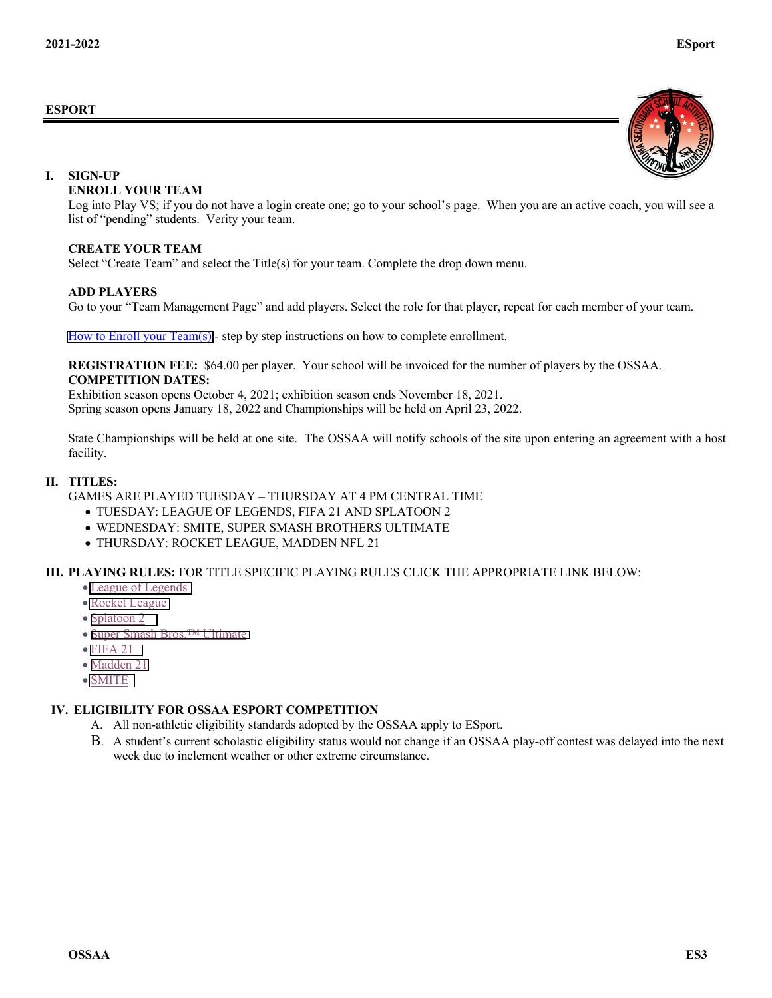#### **ESPORT**



#### **I. SIGN-UP**

#### **ENROLL YOUR TEAM**

Log into Play VS; if you do not have a login create one; go to your school's page. When you are an active coach, you will see a list of "pending" students. Verity your team.

#### **CREATE YOUR TEAM**

Select "Create Team" and select the Title(s) for your team. Complete the drop down menu.

#### **ADD PLAYERS**

Go to your "Team Management Page" and add players. Select the role for that player, repeat for each member of your team.

[How to Enroll your Team\(s\)](https://help.playvs.com/en/articles/4919261-high-school-enrollment-steps) - step by step instructions on how to complete enrollment.

#### **REGISTRATION FEE:** \$64.00 per player. Your school will be invoiced for the number of players by the OSSAA. **COMPETITION DATES:**

Exhibition season opens October 4, 2021; exhibition season ends November 18, 2021. Spring season opens January 18, 2022 and Championships will be held on April 23, 2022.

State Championships will be held at one site. The OSSAA will notify schools of the site upon entering an agreement with a host facility.

#### **II. TITLES:**

GAMES ARE PLAYED TUESDAY – THURSDAY AT 4 PM CENTRAL TIME

- TUESDAY: LEAGUE OF LEGENDS, FIFA 21 AND SPLATOON 2
- WEDNESDAY: SMITE, SUPER SMASH BROTHERS ULTIMATE
- THURSDAY: ROCKET LEAGUE, MADDEN NFL 21

### **III. PLAYING RULES:** FOR TITLE SPECIFIC PLAYING RULES CLICK THE APPROPRIATE LINK BELOW:

- [League of Legends](https://help.playvs.com/en/articles/4919212-league-of-legends-rulebook-high-school)
- [Rocket League](https://help.playvs.com/en/articles/4919221-rocket-league-rulebook-high-school)
- [Splatoon 2](https://help.playvs.com/en/articles/5433354-splatoon-2-rulebook-high-school)
- [Super Smash Bros.™ Ultimate](https://help.playvs.com/en/articles/4919168-super-smash-bros-ultimate-rulebook-high-school)
- $\bullet$  [FIFA 21](https://help.playvs.com/en/articles/4919166-fifa-21-rulebook-high-school)
- [Madden 21](https://help.playvs.com/en/articles/4919167-madden-nfl-21-rulebook-high-school)
- [SMITE](https://help.playvs.com/en/articles/4919230-smite-rulebook-high-school)

# **IV. ELIGIBILITY FOR OSSAA ESPORT COMPETITION**

- A. All non-athletic eligibility standards adopted by the OSSAA apply to ESport.
- B. A student's current scholastic eligibility status would not change if an OSSAA play-off contest was delayed into the next week due to inclement weather or other extreme circumstance.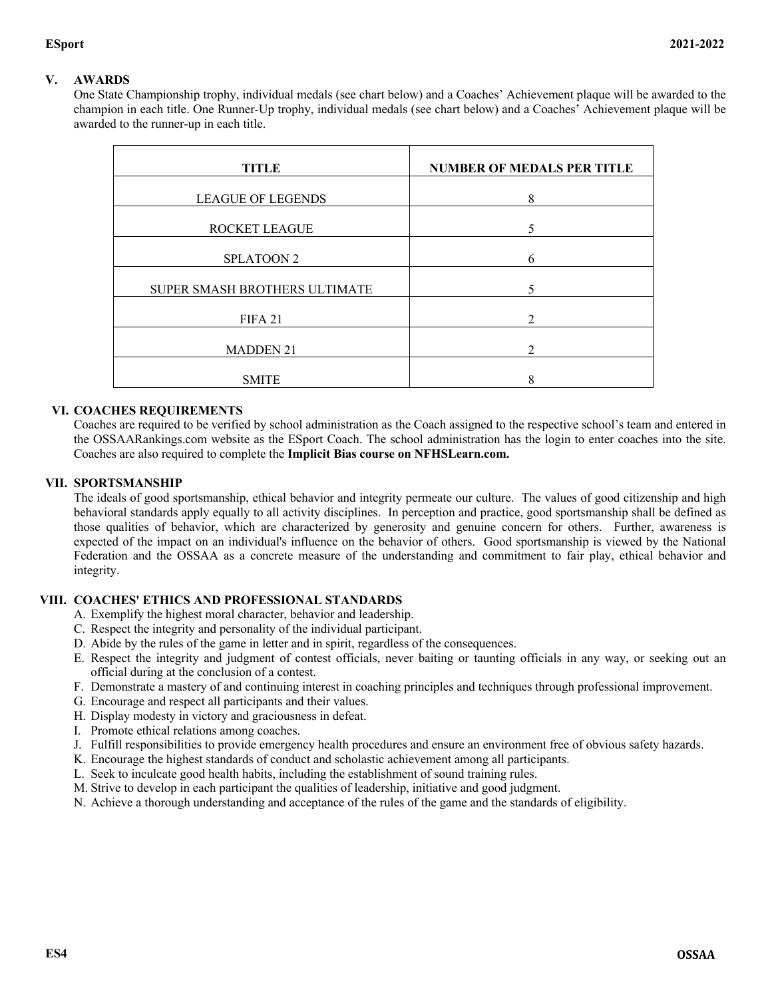# **V. AWARDS**

One State Championship trophy, individual medals (see chart below) and a Coaches' Achievement plaque will be awarded to the champion in each title. One Runner-Up trophy, individual medals (see chart below) and a Coaches' Achievement plaque will be awarded to the runner-up in each title.

| <b>TITLE</b>                  | <b>NUMBER OF MEDALS PER TITLE</b> |
|-------------------------------|-----------------------------------|
| <b>LEAGUE OF LEGENDS</b>      | 8                                 |
| ROCKET LEAGUE                 |                                   |
| <b>SPLATOON 2</b>             | 6                                 |
| SUPER SMASH BROTHERS ULTIMATE | 5                                 |
| FIFA <sub>21</sub>            | ∍                                 |
| <b>MADDEN 21</b>              | າ                                 |
| <b>SMITE</b>                  | o                                 |

### **VI. COACHES REQUIREMENTS**

Coaches are required to be verified by school administration as the Coach assigned to the respective school's team and entered in the OSSAARankings.com website as the ESport Coach. The school administration has the login to enter coaches into the site. Coaches are also required to complete the **Implicit Bias course on NFHSLearn.com.**

### **VII. SPORTSMANSHIP**

The ideals of good sportsmanship, ethical behavior and integrity permeate our culture. The values of good citizenship and high behavioral standards apply equally to all activity disciplines. In perception and practice, good sportsmanship shall be defined as those qualities of behavior, which are characterized by generosity and genuine concern for others. Further, awareness is expected of the impact on an individual's influence on the behavior of others. Good sportsmanship is viewed by the National Federation and the OSSAA as a concrete measure of the understanding and commitment to fair play, ethical behavior and integrity.

### **VIII. COACHES' ETHICS AND PROFESSIONAL STANDARDS**

- A. Exemplify the highest moral character, behavior and leadership.
- C. Respect the integrity and personality of the individual participant.
- D. Abide by the rules of the game in letter and in spirit, regardless of the consequences.
- E. Respect the integrity and judgment of contest officials, never baiting or taunting officials in any way, or seeking out an official during at the conclusion of a contest.
- F. Demonstrate a mastery of and continuing interest in coaching principles and techniques through professional improvement.
- G. Encourage and respect all participants and their values.
- H. Display modesty in victory and graciousness in defeat.
- I. Promote ethical relations among coaches.
- J. Fulfill responsibilities to provide emergency health procedures and ensure an environment free of obvious safety hazards.
- K. Encourage the highest standards of conduct and scholastic achievement among all participants.
- L. Seek to inculcate good health habits, including the establishment of sound training rules.
- M. Strive to develop in each participant the qualities of leadership, initiative and good judgment.
- N. Achieve a thorough understanding and acceptance of the rules of the game and the standards of eligibility.